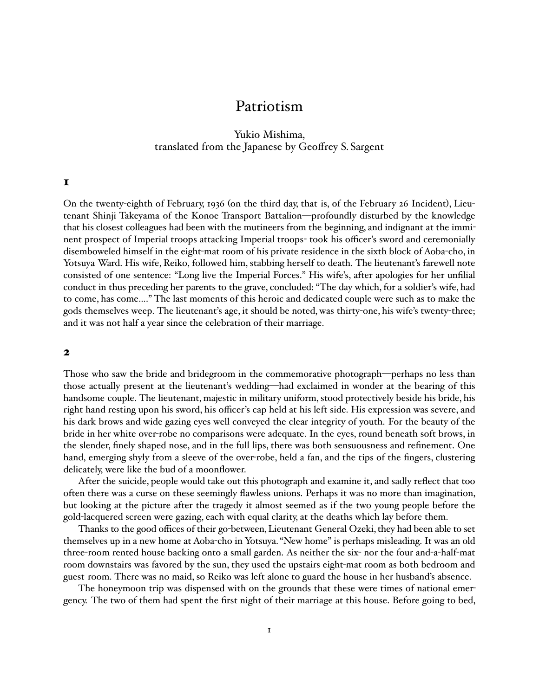# Patriotism

# Yukio Mishima, translated from the Japanese by Geoffrey S. Sargent

#### **1**

On the twenty-eighth of February, 1936 (on the third day, that is, of the February 26 Incident), Lieutenant Shinji Takeyama of the Konoe Transport Battalion—profoundly disturbed by the knowledge that his closest colleagues had been with the mutineers from the beginning, and indignant at the imminent prospect of Imperial troops attacking Imperial troops- took his officer's sword and ceremonially disemboweled himself in the eight-mat room of his private residence in the sixth block of Aoba-cho, in Yotsuya Ward. His wife, Reiko, followed him, stabbing herself to death. The lieutenant's farewell note consisted of one sentence: "Long live the Imperial Forces." His wife's, after apologies for her unfilial conduct in thus preceding her parents to the grave, concluded: "The day which, for a soldier's wife, had to come, has come…." The last moments of this heroic and dedicated couple were such as to make the gods themselves weep. The lieutenant's age, it should be noted, was thirty-one, his wife's twenty-three; and it was not half a year since the celebration of their marriage.

#### **2**

Those who saw the bride and bridegroom in the commemorative photograph—perhaps no less than those actually present at the lieutenant's wedding—had exclaimed in wonder at the bearing of this handsome couple. The lieutenant, majestic in military uniform, stood protectively beside his bride, his right hand resting upon his sword, his officer's cap held at his left side. His expression was severe, and his dark brows and wide gazing eyes well conveyed the clear integrity of youth. For the beauty of the bride in her white over-robe no comparisons were adequate. In the eyes, round beneath soft brows, in the slender, finely shaped nose, and in the full lips, there was both sensuousness and refinement. One hand, emerging shyly from a sleeve of the over-robe, held a fan, and the tips of the fingers, clustering delicately, were like the bud of a moonflower.

After the suicide, people would take out this photograph and examine it, and sadly reflect that too often there was a curse on these seemingly flawless unions. Perhaps it was no more than imagination, but looking at the picture after the tragedy it almost seemed as if the two young people before the gold-lacquered screen were gazing, each with equal clarity, at the deaths which lay before them.

Thanks to the good offices of their go-between, Lieutenant General Ozeki, they had been able to set themselves up in a new home at Aoba-cho in Yotsuya. "New home" is perhaps misleading. It was an old three-room rented house backing onto a small garden. As neither the six- nor the four and-a-half-mat room downstairs was favored by the sun, they used the upstairs eight-mat room as both bedroom and guest room. There was no maid, so Reiko was left alone to guard the house in her husband's absence.

The honeymoon trip was dispensed with on the grounds that these were times of national emergency. The two of them had spent the first night of their marriage at this house. Before going to bed,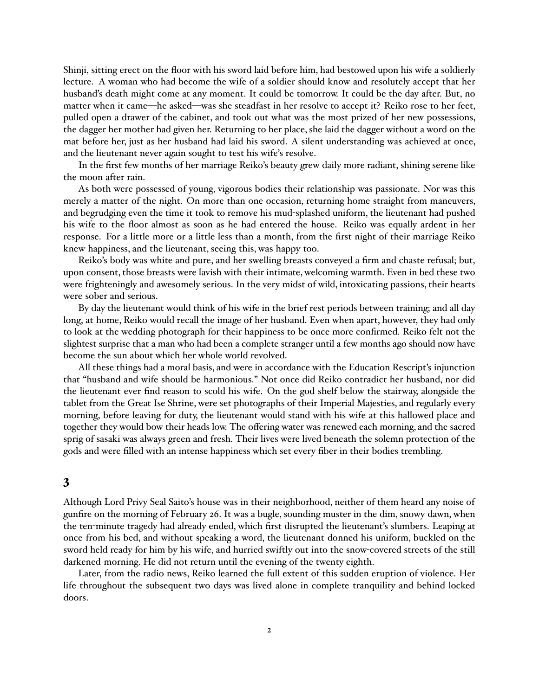Shinji, sitting erect on the floor with his sword laid before him, had bestowed upon his wife a soldierly lecture. A woman who had become the wife of a soldier should know and resolutely accept that her husband's death might come at any moment. It could be tomorrow. It could be the day after. But, no matter when it came—he asked—was she steadfast in her resolve to accept it? Reiko rose to her feet, pulled open a drawer of the cabinet, and took out what was the most prized of her new possessions, the dagger her mother had given her. Returning to her place, she laid the dagger without a word on the mat before her, just as her husband had laid his sword. A silent understanding was achieved at once, and the lieutenant never again sought to test his wife's resolve.

In the first few months of her marriage Reiko's beauty grew daily more radiant, shining serene like the moon after rain.

As both were possessed of young, vigorous bodies their relationship was passionate. Nor was this merely a matter of the night. On more than one occasion, returning home straight from maneuvers, and begrudging even the time it took to remove his mud-splashed uniform, the lieutenant had pushed his wife to the floor almost as soon as he had entered the house. Reiko was equally ardent in her response. For a little more or a little less than a month, from the first night of their marriage Reiko knew happiness, and the lieutenant, seeing this, was happy too.

Reiko's body was white and pure, and her swelling breasts conveyed a firm and chaste refusal; but, upon consent, those breasts were lavish with their intimate, welcoming warmth. Even in bed these two were frighteningly and awesomely serious. In the very midst of wild, intoxicating passions, their hearts were sober and serious.

By day the lieutenant would think of his wife in the brief rest periods between training; and all day long, at home, Reiko would recall the image of her husband. Even when apart, however, they had only to look at the wedding photograph for their happiness to be once more confirmed. Reiko felt not the slightest surprise that a man who had been a complete stranger until a few months ago should now have become the sun about which her whole world revolved.

All these things had a moral basis, and were in accordance with the Education Rescript's injunction that "husband and wife should be harmonious." Not once did Reiko contradict her husband, nor did the lieutenant ever find reason to scold his wife. On the god shelf below the stairway, alongside the tablet from the Great Ise Shrine, were set photographs of their Imperial Majesties, and regularly every morning, before leaving for duty, the lieutenant would stand with his wife at this hallowed place and together they would bow their heads low. The offering water was renewed each morning, and the sacred sprig of sasaki was always green and fresh. Their lives were lived beneath the solemn protection of the gods and were filled with an intense happiness which set every fiber in their bodies trembling.

## **3**

Although Lord Privy Seal Saito's house was in their neighborhood, neither of them heard any noise of gunfire on the morning of February 26. It was a bugle, sounding muster in the dim, snowy dawn, when the ten-minute tragedy had already ended, which first disrupted the lieutenant's slumbers. Leaping at once from his bed, and without speaking a word, the lieutenant donned his uniform, buckled on the sword held ready for him by his wife, and hurried swiftly out into the snow-covered streets of the still darkened morning. He did not return until the evening of the twenty eighth.

Later, from the radio news, Reiko learned the full extent of this sudden eruption of violence. Her life throughout the subsequent two days was lived alone in complete tranquility and behind locked doors.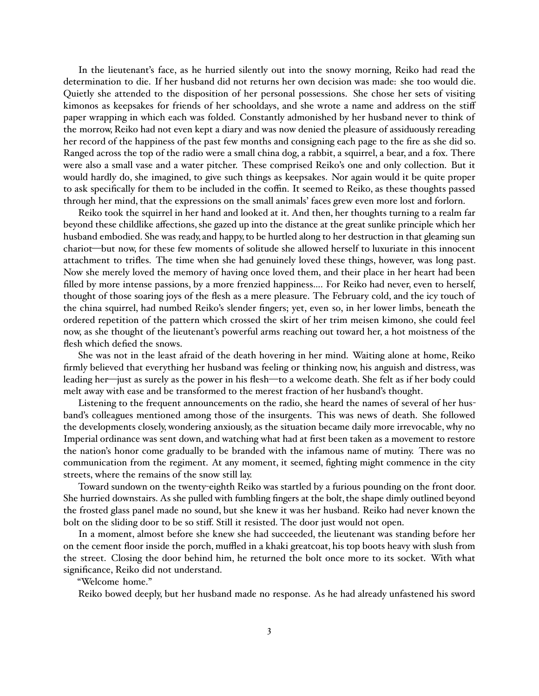In the lieutenant's face, as he hurried silently out into the snowy morning, Reiko had read the determination to die. If her husband did not returns her own decision was made: she too would die. Quietly she attended to the disposition of her personal possessions. She chose her sets of visiting kimonos as keepsakes for friends of her schooldays, and she wrote a name and address on the stiff paper wrapping in which each was folded. Constantly admonished by her husband never to think of the morrow, Reiko had not even kept a diary and was now denied the pleasure of assiduously rereading her record of the happiness of the past few months and consigning each page to the fire as she did so. Ranged across the top of the radio were a small china dog, a rabbit, a squirrel, a bear, and a fox. There were also a small vase and a water pitcher. These comprised Reiko's one and only collection. But it would hardly do, she imagined, to give such things as keepsakes. Nor again would it be quite proper to ask specifically for them to be included in the coffin. It seemed to Reiko, as these thoughts passed through her mind, that the expressions on the small animals' faces grew even more lost and forlorn.

Reiko took the squirrel in her hand and looked at it. And then, her thoughts turning to a realm far beyond these childlike affections, she gazed up into the distance at the great sunlike principle which her husband embodied. She was ready, and happy, to be hurtled along to her destruction in that gleaming sun chariot—but now, for these few moments of solitude she allowed herself to luxuriate in this innocent attachment to trifles. The time when she had genuinely loved these things, however, was long past. Now she merely loved the memory of having once loved them, and their place in her heart had been filled by more intense passions, by a more frenzied happiness…. For Reiko had never, even to herself, thought of those soaring joys of the flesh as a mere pleasure. The February cold, and the icy touch of the china squirrel, had numbed Reiko's slender fingers; yet, even so, in her lower limbs, beneath the ordered repetition of the pattern which crossed the skirt of her trim meisen kimono, she could feel now, as she thought of the lieutenant's powerful arms reaching out toward her, a hot moistness of the flesh which defied the snows.

She was not in the least afraid of the death hovering in her mind. Waiting alone at home, Reiko firmly believed that everything her husband was feeling or thinking now, his anguish and distress, was leading her—just as surely as the power in his flesh—to a welcome death. She felt as if her body could melt away with ease and be transformed to the merest fraction of her husband's thought.

Listening to the frequent announcements on the radio, she heard the names of several of her husband's colleagues mentioned among those of the insurgents. This was news of death. She followed the developments closely, wondering anxiously, as the situation became daily more irrevocable, why no Imperial ordinance was sent down, and watching what had at first been taken as a movement to restore the nation's honor come gradually to be branded with the infamous name of mutiny. There was no communication from the regiment. At any moment, it seemed, fighting might commence in the city streets, where the remains of the snow still lay.

Toward sundown on the twenty-eighth Reiko was startled by a furious pounding on the front door. She hurried downstairs. As she pulled with fumbling fingers at the bolt, the shape dimly outlined beyond the frosted glass panel made no sound, but she knew it was her husband. Reiko had never known the bolt on the sliding door to be so stiff. Still it resisted. The door just would not open.

In a moment, almost before she knew she had succeeded, the lieutenant was standing before her on the cement floor inside the porch, muffled in a khaki greatcoat, his top boots heavy with slush from the street. Closing the door behind him, he returned the bolt once more to its socket. With what significance, Reiko did not understand.

"Welcome home."

Reiko bowed deeply, but her husband made no response. As he had already unfastened his sword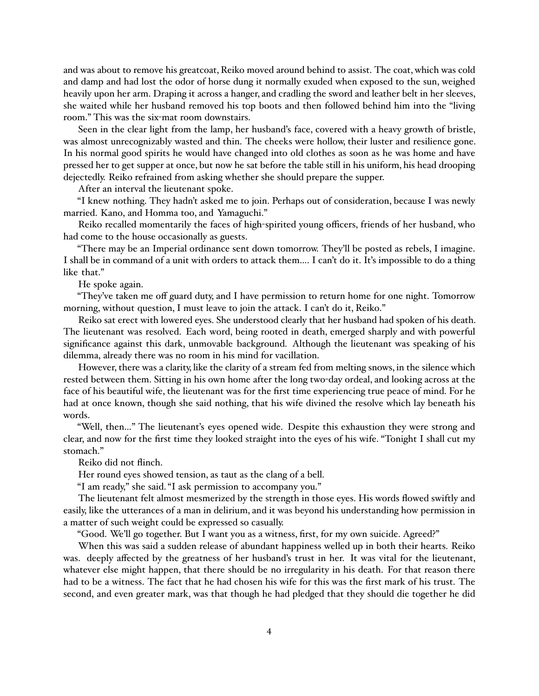and was about to remove his greatcoat, Reiko moved around behind to assist. The coat, which was cold and damp and had lost the odor of horse dung it normally exuded when exposed to the sun, weighed heavily upon her arm. Draping it across a hanger, and cradling the sword and leather belt in her sleeves, she waited while her husband removed his top boots and then followed behind him into the "living room." This was the six-mat room downstairs.

Seen in the clear light from the lamp, her husband's face, covered with a heavy growth of bristle, was almost unrecognizably wasted and thin. The cheeks were hollow, their luster and resilience gone. In his normal good spirits he would have changed into old clothes as soon as he was home and have pressed her to get supper at once, but now he sat before the table still in his uniform, his head drooping dejectedly. Reiko refrained from asking whether she should prepare the supper.

After an interval the lieutenant spoke.

"I knew nothing. They hadn't asked me to join. Perhaps out of consideration, because I was newly married. Kano, and Homma too, and Yamaguchi."

Reiko recalled momentarily the faces of high-spirited young officers, friends of her husband, who had come to the house occasionally as guests.

"There may be an Imperial ordinance sent down tomorrow. They'll be posted as rebels, I imagine. I shall be in command of a unit with orders to attack them…. I can't do it. It's impossible to do a thing like that."

He spoke again.

"They've taken me off guard duty, and I have permission to return home for one night. Tomorrow morning, without question, I must leave to join the attack. I can't do it, Reiko."

Reiko sat erect with lowered eyes. She understood clearly that her husband had spoken of his death. The lieutenant was resolved. Each word, being rooted in death, emerged sharply and with powerful significance against this dark, unmovable background. Although the lieutenant was speaking of his dilemma, already there was no room in his mind for vacillation.

However, there was a clarity, like the clarity of a stream fed from melting snows, in the silence which rested between them. Sitting in his own home after the long two-day ordeal, and looking across at the face of his beautiful wife, the lieutenant was for the first time experiencing true peace of mind. For he had at once known, though she said nothing, that his wife divined the resolve which lay beneath his words.

"Well, then…" The lieutenant's eyes opened wide. Despite this exhaustion they were strong and clear, and now for the first time they looked straight into the eyes of his wife. "Tonight I shall cut my stomach."

Reiko did not flinch.

Her round eyes showed tension, as taut as the clang of a bell.

"I am ready," she said. "I ask permission to accompany you."

The lieutenant felt almost mesmerized by the strength in those eyes. His words flowed swiftly and easily, like the utterances of a man in delirium, and it was beyond his understanding how permission in a matter of such weight could be expressed so casually.

"Good. We'll go together. But I want you as a witness, first, for my own suicide. Agreed?"

When this was said a sudden release of abundant happiness welled up in both their hearts. Reiko was. deeply affected by the greatness of her husband's trust in her. It was vital for the lieutenant, whatever else might happen, that there should be no irregularity in his death. For that reason there had to be a witness. The fact that he had chosen his wife for this was the first mark of his trust. The second, and even greater mark, was that though he had pledged that they should die together he did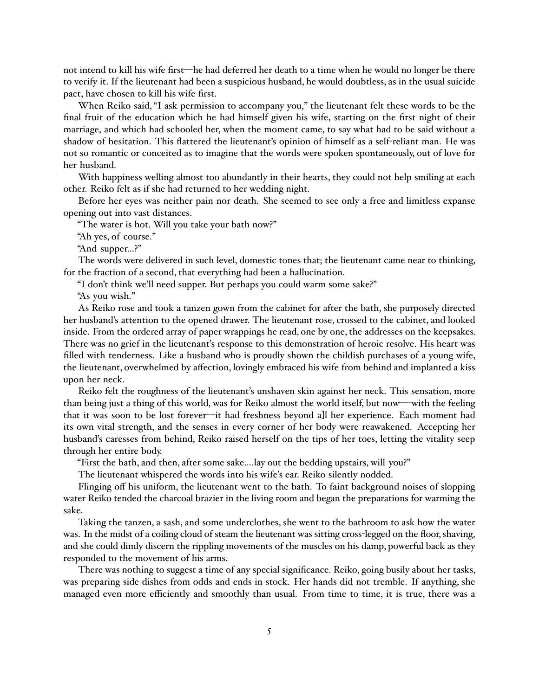not intend to kill his wife first—he had deferred her death to a time when he would no longer be there to verify it. If the lieutenant had been a suspicious husband, he would doubtless, as in the usual suicide pact, have chosen to kill his wife first.

When Reiko said, "I ask permission to accompany you," the lieutenant felt these words to be the final fruit of the education which he had himself given his wife, starting on the first night of their marriage, and which had schooled her, when the moment came, to say what had to be said without a shadow of hesitation. This flattered the lieutenant's opinion of himself as a self-reliant man. He was not so romantic or conceited as to imagine that the words were spoken spontaneously, out of love for her husband.

With happiness welling almost too abundantly in their hearts, they could not help smiling at each other. Reiko felt as if she had returned to her wedding night.

Before her eyes was neither pain nor death. She seemed to see only a free and limitless expanse opening out into vast distances.

"The water is hot. Will you take your bath now?"

"Ah yes, of course."

"And supper…?"

The words were delivered in such level, domestic tones that; the lieutenant came near to thinking, for the fraction of a second, that everything had been a hallucination.

"I don't think we'll need supper. But perhaps you could warm some sake?"

"As you wish."

As Reiko rose and took a tanzen gown from the cabinet for after the bath, she purposely directed her husband's attention to the opened drawer. The lieutenant rose, crossed to the cabinet, and looked inside. From the ordered array of paper wrappings he read, one by one, the addresses on the keepsakes. There was no grief in the lieutenant's response to this demonstration of heroic resolve. His heart was filled with tenderness. Like a husband who is proudly shown the childish purchases of a young wife, the lieutenant, overwhelmed by affection, lovingly embraced his wife from behind and implanted a kiss upon her neck.

Reiko felt the roughness of the lieutenant's unshaven skin against her neck. This sensation, more than being just a thing of this world, was for Reiko almost the world itself, but now—-with the feeling that it was soon to be lost forever—it had freshness beyond a]l her experience. Each moment had its own vital strength, and the senses in every corner of her body were reawakened. Accepting her husband's caresses from behind, Reiko raised herself on the tips of her toes, letting the vitality seep through her entire body.

"First the bath, and then, after some sake….lay out the bedding upstairs, will you?"

The lieutenant whispered the words into his wife's ear. Reiko silently nodded.

Flinging off his uniform, the lieutenant went to the bath. To faint background noises of slopping water Reiko tended the charcoal brazier in the living room and began the preparations for warming the sake.

Taking the tanzen, a sash, and some underclothes, she went to the bathroom to ask how the water was. In the midst of a coiling cloud of steam the lieutenant was sitting cross-legged on the floor, shaving, and she could dimly discern the rippling movements of the muscles on his damp, powerful back as they responded to the movement of his arms.

There was nothing to suggest a time of any special significance. Reiko, going busily about her tasks, was preparing side dishes from odds and ends in stock. Her hands did not tremble. If anything, she managed even more efficiently and smoothly than usual. From time to time, it is true, there was a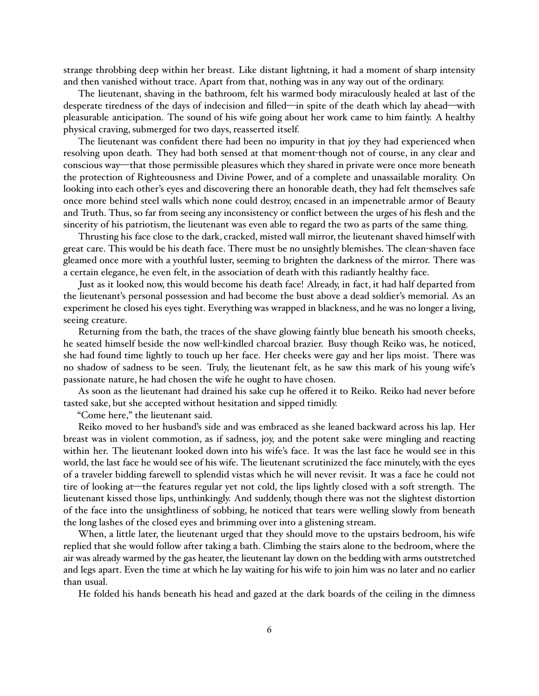strange throbbing deep within her breast. Like distant lightning, it had a moment of sharp intensity and then vanished without trace. Apart from that, nothing was in any way out of the ordinary.

The lieutenant, shaving in the bathroom, felt his warmed body miraculously healed at last of the desperate tiredness of the days of indecision and filled—in spite of the death which lay ahead—with pleasurable anticipation. The sound of his wife going about her work came to him faintly. A healthy physical craving, submerged for two days, reasserted itself.

The lieutenant was confident there had been no impurity in that joy they had experienced when resolving upon death. They had both sensed at that moment-though not of course, in any clear and conscious way—that those permissible pleasures which they shared in private were once more beneath the protection of Righteousness and Divine Power, and of a complete and unassailable morality. On looking into each other's eyes and discovering there an honorable death, they had felt themselves safe once more behind steel walls which none could destroy, encased in an impenetrable armor of Beauty and Truth. Thus, so far from seeing any inconsistency or conflict between the urges of his flesh and the sincerity of his patriotism, the lieutenant was even able to regard the two as parts of the same thing.

Thrusting his face close to the dark, cracked, misted wall mirror, the lieutenant shaved himself with great care. This would be his death face. There must be no unsightly blemishes. The clean-shaven face gleamed once more with a youthful luster, seeming to brighten the darkness of the mirror. There was a certain elegance, he even felt, in the association of death with this radiantly healthy face.

Just as it looked now, this would become his death face! Already, in fact, it had half departed from the lieutenant's personal possession and had become the bust above a dead soldier's memorial. As an experiment he closed his eyes tight. Everything was wrapped in blackness, and he was no longer a living, seeing creature.

Returning from the bath, the traces of the shave glowing faintly blue beneath his smooth cheeks, he seated himself beside the now well-kindled charcoal brazier. Busy though Reiko was, he noticed, she had found time lightly to touch up her face. Her cheeks were gay and her lips moist. There was no shadow of sadness to be seen. Truly, the lieutenant felt, as he saw this mark of his young wife's passionate nature, he had chosen the wife he ought to have chosen.

As soon as the lieutenant had drained his sake cup he offered it to Reiko. Reiko had never before tasted sake, but she accepted without hesitation and sipped timidly.

"Come here," the lieutenant said.

Reiko moved to her husband's side and was embraced as she leaned backward across his lap. Her breast was in violent commotion, as if sadness, joy, and the potent sake were mingling and reacting within her. The lieutenant looked down into his wife's face. It was the last face he would see in this world, the last face he would see of his wife. The lieutenant scrutinized the face minutely, with the eyes of a traveler bidding farewell to splendid vistas which he will never revisit. It was a face he could not tire of looking at—the features regular yet not cold, the lips lightly closed with a soft strength. The lieutenant kissed those lips, unthinkingly. And suddenly, though there was not the slightest distortion of the face into the unsightliness of sobbing, he noticed that tears were welling slowly from beneath the long lashes of the closed eyes and brimming over into a glistening stream.

When, a little later, the lieutenant urged that they should move to the upstairs bedroom, his wife replied that she would follow after taking a bath. Climbing the stairs alone to the bedroom, where the air was already warmed by the gas heater, the lieutenant lay down on the bedding with arms outstretched and legs apart. Even the time at which he lay waiting for his wife to join him was no later and no earlier than usual.

He folded his hands beneath his head and gazed at the dark boards of the ceiling in the dimness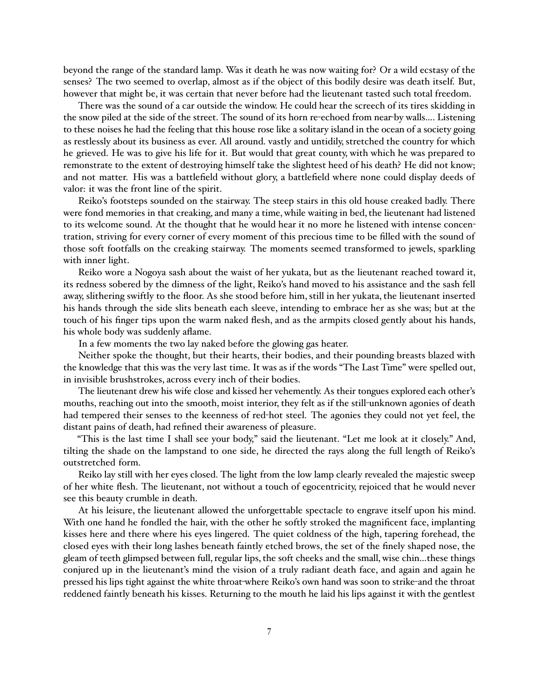beyond the range of the standard lamp. Was it death he was now waiting for? Or a wild ecstasy of the senses? The two seemed to overlap, almost as if the object of this bodily desire was death itself. But, however that might be, it was certain that never before had the lieutenant tasted such total freedom.

There was the sound of a car outside the window. He could hear the screech of its tires skidding in the snow piled at the side of the street. The sound of its horn re-echoed from near-by walls…. Listening to these noises he had the feeling that this house rose like a solitary island in the ocean of a society going as restlessly about its business as ever. All around. vastly and untidily, stretched the country for which he grieved. He was to give his life for it. But would that great county, with which he was prepared to remonstrate to the extent of destroying himself take the slightest heed of his death? He did not know; and not matter. His was a battlefield without glory, a battlefield where none could display deeds of valor: it was the front line of the spirit.

Reiko's footsteps sounded on the stairway. The steep stairs in this old house creaked badly. There were fond memories in that creaking, and many a time, while waiting in bed, the lieutenant had listened to its welcome sound. At the thought that he would hear it no more he listened with intense concentration, striving for every corner of every moment of this precious time to be filled with the sound of those soft footfalls on the creaking stairway. The moments seemed transformed to jewels, sparkling with inner light.

Reiko wore a Nogoya sash about the waist of her yukata, but as the lieutenant reached toward it, its redness sobered by the dimness of the light, Reiko's hand moved to his assistance and the sash fell away, slithering swiftly to the floor. As she stood before him, still in her yukata, the lieutenant inserted his hands through the side slits beneath each sleeve, intending to embrace her as she was; but at the touch of his finger tips upon the warm naked flesh, and as the armpits closed gently about his hands, his whole body was suddenly aflame.

In a few moments the two lay naked before the glowing gas heater.

Neither spoke the thought, but their hearts, their bodies, and their pounding breasts blazed with the knowledge that this was the very last time. It was as if the words "The Last Time" were spelled out, in invisible brushstrokes, across every inch of their bodies.

The lieutenant drew his wife close and kissed her vehemently. As their tongues explored each other's mouths, reaching out into the smooth, moist interior, they felt as if the still-unknown agonies of death had tempered their senses to the keenness of red-hot steel. The agonies they could not yet feel, the distant pains of death, had refined their awareness of pleasure.

"This is the last time I shall see your body," said the lieutenant. "Let me look at it closely." And, tilting the shade on the lampstand to one side, he directed the rays along the full length of Reiko's outstretched form.

Reiko lay still with her eyes closed. The light from the low lamp clearly revealed the majestic sweep of her white flesh. The lieutenant, not without a touch of egocentricity, rejoiced that he would never see this beauty crumble in death.

At his leisure, the lieutenant allowed the unforgettable spectacle to engrave itself upon his mind. With one hand he fondled the hair, with the other he softly stroked the magnificent face, implanting kisses here and there where his eyes lingered. The quiet coldness of the high, tapering forehead, the closed eyes with their long lashes beneath faintly etched brows, the set of the finely shaped nose, the gleam of teeth glimpsed between full, regular lips, the soft cheeks and the small, wise chin…these things conjured up in the lieutenant's mind the vision of a truly radiant death face, and again and again he pressed his lips tight against the white throat-where Reiko's own hand was soon to strike-and the throat reddened faintly beneath his kisses. Returning to the mouth he laid his lips against it with the gentlest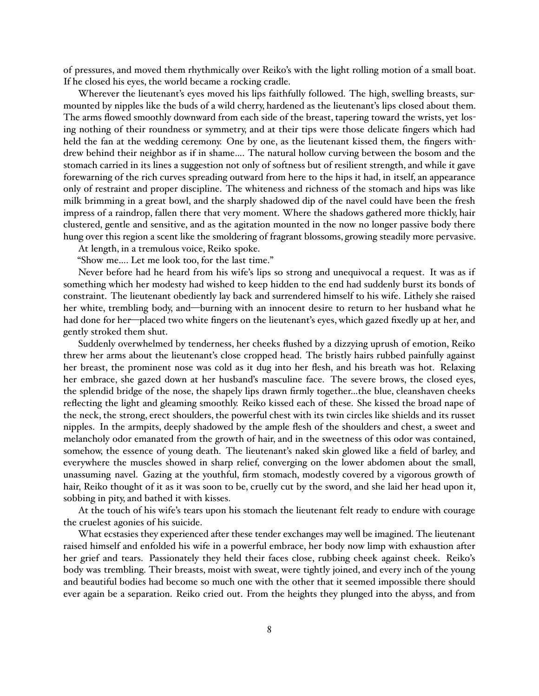of pressures, and moved them rhythmically over Reiko's with the light rolling motion of a small boat. If he closed his eyes, the world became a rocking cradle.

Wherever the lieutenant's eyes moved his lips faithfully followed. The high, swelling breasts, surmounted by nipples like the buds of a wild cherry, hardened as the lieutenant's lips closed about them. The arms flowed smoothly downward from each side of the breast, tapering toward the wrists, yet losing nothing of their roundness or symmetry, and at their tips were those delicate fingers which had held the fan at the wedding ceremony. One by one, as the lieutenant kissed them, the fingers withdrew behind their neighbor as if in shame…. The natural hollow curving between the bosom and the stomach carried in its lines a suggestion not only of softness but of resilient strength, and while it gave forewarning of the rich curves spreading outward from here to the hips it had, in itself, an appearance only of restraint and proper discipline. The whiteness and richness of the stomach and hips was like milk brimming in a great bowl, and the sharply shadowed dip of the navel could have been the fresh impress of a raindrop, fallen there that very moment. Where the shadows gathered more thickly, hair clustered, gentle and sensitive, and as the agitation mounted in the now no longer passive body there hung over this region a scent like the smoldering of fragrant blossoms, growing steadily more pervasive.

At length, in a tremulous voice, Reiko spoke.

"Show me…. Let me look too, for the last time."

Never before had he heard from his wife's lips so strong and unequivocal a request. It was as if something which her modesty had wished to keep hidden to the end had suddenly burst its bonds of constraint. The lieutenant obediently lay back and surrendered himself to his wife. Lithely she raised her white, trembling body, and—burning with an innocent desire to return to her husband what he had done for her—placed two white fingers on the lieutenant's eyes, which gazed fixedly up at her, and gently stroked them shut.

Suddenly overwhelmed by tenderness, her cheeks flushed by a dizzying uprush of emotion, Reiko threw her arms about the lieutenant's close cropped head. The bristly hairs rubbed painfully against her breast, the prominent nose was cold as it dug into her flesh, and his breath was hot. Relaxing her embrace, she gazed down at her husband's masculine face. The severe brows, the closed eyes, the splendid bridge of the nose, the shapely lips drawn firmly together…the blue, cleanshaven cheeks reflecting the light and gleaming smoothly. Reiko kissed each of these. She kissed the broad nape of the neck, the strong, erect shoulders, the powerful chest with its twin circles like shields and its russet nipples. In the armpits, deeply shadowed by the ample flesh of the shoulders and chest, a sweet and melancholy odor emanated from the growth of hair, and in the sweetness of this odor was contained, somehow, the essence of young death. The lieutenant's naked skin glowed like a field of barley, and everywhere the muscles showed in sharp relief, converging on the lower abdomen about the small, unassuming navel. Gazing at the youthful, firm stomach, modestly covered by a vigorous growth of hair, Reiko thought of it as it was soon to be, cruelly cut by the sword, and she laid her head upon it, sobbing in pity, and bathed it with kisses.

At the touch of his wife's tears upon his stomach the lieutenant felt ready to endure with courage the cruelest agonies of his suicide.

What ecstasies they experienced after these tender exchanges may well be imagined. The lieutenant raised himself and enfolded his wife in a powerful embrace, her body now limp with exhaustion after her grief and tears. Passionately they held their faces close, rubbing cheek against cheek. Reiko's body was trembling. Their breasts, moist with sweat, were tightly joined, and every inch of the young and beautiful bodies had become so much one with the other that it seemed impossible there should ever again be a separation. Reiko cried out. From the heights they plunged into the abyss, and from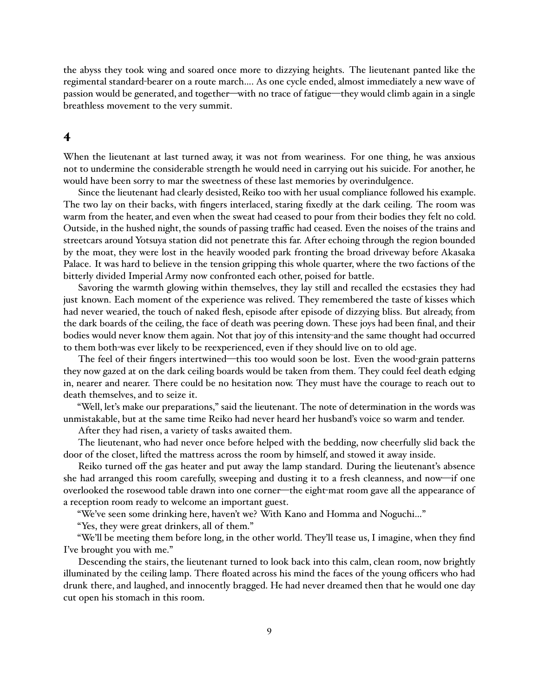the abyss they took wing and soared once more to dizzying heights. The lieutenant panted like the regimental standard-bearer on a route march…. As one cycle ended, almost immediately a new wave of passion would be generated, and together—with no trace of fatigue—they would climb again in a single breathless movement to the very summit.

### **4**

When the lieutenant at last turned away, it was not from weariness. For one thing, he was anxious not to undermine the considerable strength he would need in carrying out his suicide. For another, he would have been sorry to mar the sweetness of these last memories by overindulgence.

Since the lieutenant had clearly desisted, Reiko too with her usual compliance followed his example. The two lay on their backs, with fingers interlaced, staring fixedly at the dark ceiling. The room was warm from the heater, and even when the sweat had ceased to pour from their bodies they felt no cold. Outside, in the hushed night, the sounds of passing traffic had ceased. Even the noises of the trains and streetcars around Yotsuya station did not penetrate this far. After echoing through the region bounded by the moat, they were lost in the heavily wooded park fronting the broad driveway before Akasaka Palace. It was hard to believe in the tension gripping this whole quarter, where the two factions of the bitterly divided Imperial Army now confronted each other, poised for battle.

Savoring the warmth glowing within themselves, they lay still and recalled the ecstasies they had just known. Each moment of the experience was relived. They remembered the taste of kisses which had never wearied, the touch of naked flesh, episode after episode of dizzying bliss. But already, from the dark boards of the ceiling, the face of death was peering down. These joys had been final, and their bodies would never know them again. Not that joy of this intensity-and the same thought had occurred to them both-was ever likely to be reexperienced, even if they should live on to old age.

The feel of their fingers intertwined—this too would soon be lost. Even the wood-grain patterns they now gazed at on the dark ceiling boards would be taken from them. They could feel death edging in, nearer and nearer. There could be no hesitation now. They must have the courage to reach out to death themselves, and to seize it.

"Well, let's make our preparations," said the lieutenant. The note of determination in the words was unmistakable, but at the same time Reiko had never heard her husband's voice so warm and tender.

After they had risen, a variety of tasks awaited them.

The lieutenant, who had never once before helped with the bedding, now cheerfully slid back the door of the closet, lifted the mattress across the room by himself, and stowed it away inside.

Reiko turned off the gas heater and put away the lamp standard. During the lieutenant's absence she had arranged this room carefully, sweeping and dusting it to a fresh cleanness, and now—if one overlooked the rosewood table drawn into one corner—the eight-mat room gave all the appearance of a reception room ready to welcome an important guest.

"We've seen some drinking here, haven't we? With Kano and Homma and Noguchi…"

"Yes, they were great drinkers, all of them."

"We'll be meeting them before long, in the other world. They'll tease us, I imagine, when they find I've brought you with me."

Descending the stairs, the lieutenant turned to look back into this calm, clean room, now brightly illuminated by the ceiling lamp. There floated across his mind the faces of the young officers who had drunk there, and laughed, and innocently bragged. He had never dreamed then that he would one day cut open his stomach in this room.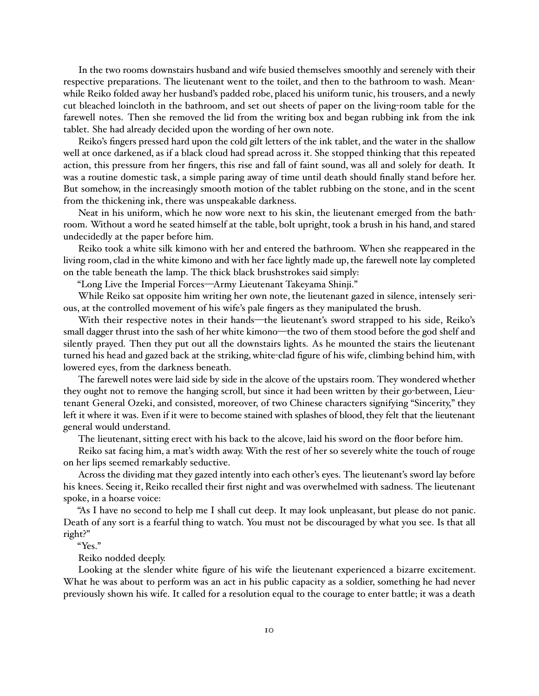In the two rooms downstairs husband and wife busied themselves smoothly and serenely with their respective preparations. The lieutenant went to the toilet, and then to the bathroom to wash. Meanwhile Reiko folded away her husband's padded robe, placed his uniform tunic, his trousers, and a newly cut bleached loincloth in the bathroom, and set out sheets of paper on the living-room table for the farewell notes. Then she removed the lid from the writing box and began rubbing ink from the ink tablet. She had already decided upon the wording of her own note.

Reiko's fingers pressed hard upon the cold gilt letters of the ink tablet, and the water in the shallow well at once darkened, as if a black cloud had spread across it. She stopped thinking that this repeated action, this pressure from her fingers, this rise and fall of faint sound, was all and solely for death. It was a routine domestic task, a simple paring away of time until death should finally stand before her. But somehow, in the increasingly smooth motion of the tablet rubbing on the stone, and in the scent from the thickening ink, there was unspeakable darkness.

Neat in his uniform, which he now wore next to his skin, the lieutenant emerged from the bathroom. Without a word he seated himself at the table, bolt upright, took a brush in his hand, and stared undecidedly at the paper before him.

Reiko took a white silk kimono with her and entered the bathroom. When she reappeared in the living room, clad in the white kimono and with her face lightly made up, the farewell note lay completed on the table beneath the lamp. The thick black brushstrokes said simply:

"Long Live the Imperial Forces—Army Lieutenant Takeyama Shinji."

While Reiko sat opposite him writing her own note, the lieutenant gazed in silence, intensely serious, at the controlled movement of his wife's pale fingers as they manipulated the brush.

With their respective notes in their hands—the lieutenant's sword strapped to his side, Reiko's small dagger thrust into the sash of her white kimono—the two of them stood before the god shelf and silently prayed. Then they put out all the downstairs lights. As he mounted the stairs the lieutenant turned his head and gazed back at the striking, white-clad figure of his wife, climbing behind him, with lowered eyes, from the darkness beneath.

The farewell notes were laid side by side in the alcove of the upstairs room. They wondered whether they ought not to remove the hanging scroll, but since it had been written by their go-between, Lieutenant General Ozeki, and consisted, moreover, of two Chinese characters signifying "Sincerity," they left it where it was. Even if it were to become stained with splashes of blood, they felt that the lieutenant general would understand.

The lieutenant, sitting erect with his back to the alcove, laid his sword on the floor before him.

Reiko sat facing him, a mat's width away. With the rest of her so severely white the touch of rouge on her lips seemed remarkably seductive.

Across the dividing mat they gazed intently into each other's eyes. The lieutenant's sword lay before his knees. Seeing it, Reiko recalled their first night and was overwhelmed with sadness. The lieutenant spoke, in a hoarse voice:

"As I have no second to help me I shall cut deep. It may look unpleasant, but please do not panic. Death of any sort is a fearful thing to watch. You must not be discouraged by what you see. Is that all right?"

"Yes."

Reiko nodded deeply.

Looking at the slender white figure of his wife the lieutenant experienced a bizarre excitement. What he was about to perform was an act in his public capacity as a soldier, something he had never previously shown his wife. It called for a resolution equal to the courage to enter battle; it was a death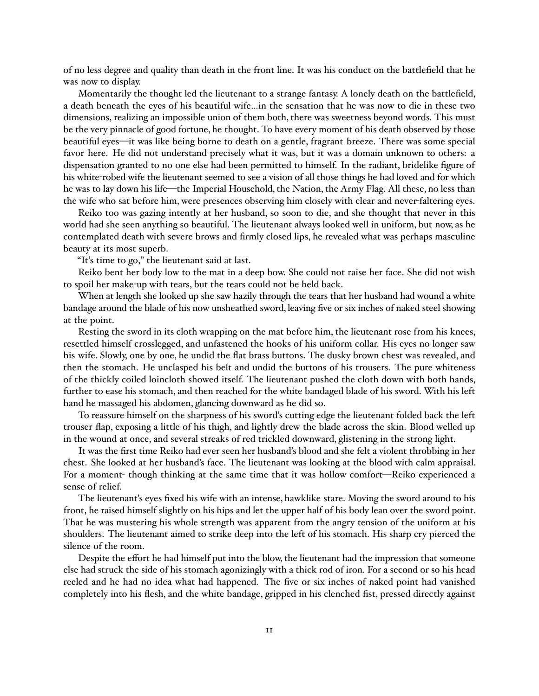of no less degree and quality than death in the front line. It was his conduct on the battlefield that he was now to display.

Momentarily the thought led the lieutenant to a strange fantasy. A lonely death on the battlefield, a death beneath the eyes of his beautiful wife…in the sensation that he was now to die in these two dimensions, realizing an impossible union of them both, there was sweetness beyond words. This must be the very pinnacle of good fortune, he thought. To have every moment of his death observed by those beautiful eyes—it was like being borne to death on a gentle, fragrant breeze. There was some special favor here. He did not understand precisely what it was, but it was a domain unknown to others: a dispensation granted to no one else had been permitted to himself. In the radiant, bridelike figure of his white-robed wife the lieutenant seemed to see a vision of all those things he had loved and for which he was to lay down his life—the Imperial Household, the Nation, the Army Flag. All these, no less than the wife who sat before him, were presences observing him closely with clear and never-faltering eyes.

Reiko too was gazing intently at her husband, so soon to die, and she thought that never in this world had she seen anything so beautiful. The lieutenant always looked well in uniform, but now, as he contemplated death with severe brows and firmly closed lips, he revealed what was perhaps masculine beauty at its most superb.

"It's time to go," the lieutenant said at last.

Reiko bent her body low to the mat in a deep bow. She could not raise her face. She did not wish to spoil her make-up with tears, but the tears could not be held back.

When at length she looked up she saw hazily through the tears that her husband had wound a white bandage around the blade of his now unsheathed sword, leaving five or six inches of naked steel showing at the point.

Resting the sword in its cloth wrapping on the mat before him, the lieutenant rose from his knees, resettled himself crosslegged, and unfastened the hooks of his uniform collar. His eyes no longer saw his wife. Slowly, one by one, he undid the flat brass buttons. The dusky brown chest was revealed, and then the stomach. He unclasped his belt and undid the buttons of his trousers. The pure whiteness of the thickly coiled loincloth showed itself. The lieutenant pushed the cloth down with both hands, further to ease his stomach, and then reached for the white bandaged blade of his sword. With his left hand he massaged his abdomen, glancing downward as he did so.

To reassure himself on the sharpness of his sword's cutting edge the lieutenant folded back the left trouser flap, exposing a little of his thigh, and lightly drew the blade across the skin. Blood welled up in the wound at once, and several streaks of red trickled downward, glistening in the strong light.

It was the first time Reiko had ever seen her husband's blood and she felt a violent throbbing in her chest. She looked at her husband's face. The lieutenant was looking at the blood with calm appraisal. For a moment- though thinking at the same time that it was hollow comfort—Reiko experienced a sense of relief.

The lieutenant's eyes fixed his wife with an intense, hawklike stare. Moving the sword around to his front, he raised himself slightly on his hips and let the upper half of his body lean over the sword point. That he was mustering his whole strength was apparent from the angry tension of the uniform at his shoulders. The lieutenant aimed to strike deep into the left of his stomach. His sharp cry pierced the silence of the room.

Despite the effort he had himself put into the blow, the lieutenant had the impression that someone else had struck the side of his stomach agonizingly with a thick rod of iron. For a second or so his head reeled and he had no idea what had happened. The five or six inches of naked point had vanished completely into his flesh, and the white bandage, gripped in his clenched fist, pressed directly against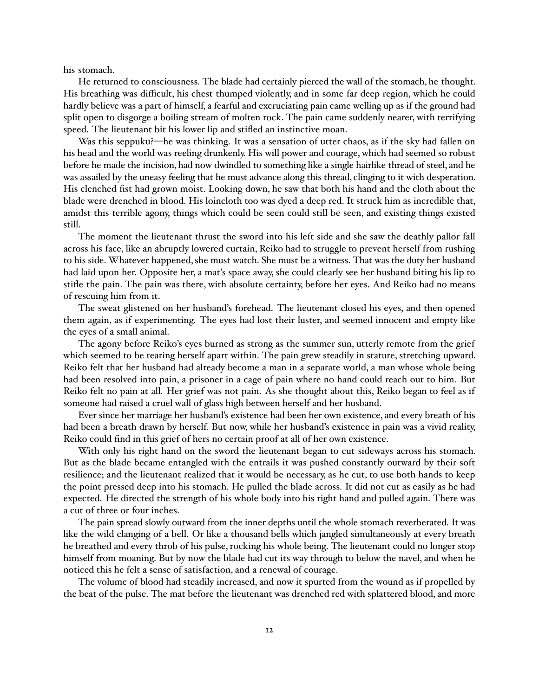his stomach.

He returned to consciousness. The blade had certainly pierced the wall of the stomach, he thought. His breathing was difficult, his chest thumped violently, and in some far deep region, which he could hardly believe was a part of himself, a fearful and excruciating pain came welling up as if the ground had split open to disgorge a boiling stream of molten rock. The pain came suddenly nearer, with terrifying speed. The lieutenant bit his lower lip and stifled an instinctive moan.

Was this seppuku?—he was thinking. It was a sensation of utter chaos, as if the sky had fallen on his head and the world was reeling drunkenly. His will power and courage, which had seemed so robust before he made the incision, had now dwindled to something like a single hairlike thread of steel, and he was assailed by the uneasy feeling that he must advance along this thread, clinging to it with desperation. His clenched fist had grown moist. Looking down, he saw that both his hand and the cloth about the blade were drenched in blood. His loincloth too was dyed a deep red. It struck him as incredible that, amidst this terrible agony, things which could be seen could still be seen, and existing things existed still.

The moment the lieutenant thrust the sword into his left side and she saw the deathly pallor fall across his face, like an abruptly lowered curtain, Reiko had to struggle to prevent herself from rushing to his side. Whatever happened, she must watch. She must be a witness. That was the duty her husband had laid upon her. Opposite her, a mat's space away, she could clearly see her husband biting his lip to stifle the pain. The pain was there, with absolute certainty, before her eyes. And Reiko had no means of rescuing him from it.

The sweat glistened on her husband's forehead. The lieutenant closed his eyes, and then opened them again, as if experimenting. The eyes had lost their luster, and seemed innocent and empty like the eyes of a small animal.

The agony before Reiko's eyes burned as strong as the summer sun, utterly remote from the grief which seemed to be tearing herself apart within. The pain grew steadily in stature, stretching upward. Reiko felt that her husband had already become a man in a separate world, a man whose whole being had been resolved into pain, a prisoner in a cage of pain where no hand could reach out to him. But Reiko felt no pain at all. Her grief was not pain. As she thought about this, Reiko began to feel as if someone had raised a cruel wall of glass high between herself and her husband.

Ever since her marriage her husband's existence had been her own existence, and every breath of his had been a breath drawn by herself. But now, while her husband's existence in pain was a vivid reality, Reiko could find in this grief of hers no certain proof at all of her own existence.

With only his right hand on the sword the lieutenant began to cut sideways across his stomach. But as the blade became entangled with the entrails it was pushed constantly outward by their soft resilience; and the lieutenant realized that it would be necessary, as he cut, to use both hands to keep the point pressed deep into his stomach. He pulled the blade across. It did not cut as easily as he had expected. He directed the strength of his whole body into his right hand and pulled again. There was a cut of three or four inches.

The pain spread slowly outward from the inner depths until the whole stomach reverberated. It was like the wild clanging of a bell. Or like a thousand bells which jangled simultaneously at every breath he breathed and every throb of his pulse, rocking his whole being. The lieutenant could no longer stop himself from moaning. But by now the blade had cut its way through to below the navel, and when he noticed this he felt a sense of satisfaction, and a renewal of courage.

The volume of blood had steadily increased, and now it spurted from the wound as if propelled by the beat of the pulse. The mat before the lieutenant was drenched red with splattered blood, and more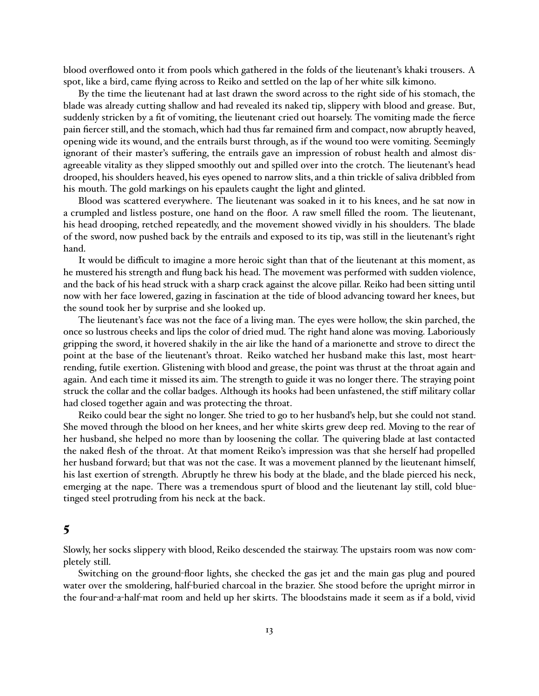blood overflowed onto it from pools which gathered in the folds of the lieutenant's khaki trousers. A spot, like a bird, came flying across to Reiko and settled on the lap of her white silk kimono.

By the time the lieutenant had at last drawn the sword across to the right side of his stomach, the blade was already cutting shallow and had revealed its naked tip, slippery with blood and grease. But, suddenly stricken by a fit of vomiting, the lieutenant cried out hoarsely. The vomiting made the fierce pain fiercer still, and the stomach, which had thus far remained firm and compact, now abruptly heaved, opening wide its wound, and the entrails burst through, as if the wound too were vomiting. Seemingly ignorant of their master's suffering, the entrails gave an impression of robust health and almost disagreeable vitality as they slipped smoothly out and spilled over into the crotch. The lieutenant's head drooped, his shoulders heaved, his eyes opened to narrow slits, and a thin trickle of saliva dribbled from his mouth. The gold markings on his epaulets caught the light and glinted.

Blood was scattered everywhere. The lieutenant was soaked in it to his knees, and he sat now in a crumpled and listless posture, one hand on the floor. A raw smell filled the room. The lieutenant, his head drooping, retched repeatedly, and the movement showed vividly in his shoulders. The blade of the sword, now pushed back by the entrails and exposed to its tip, was still in the lieutenant's right hand.

It would be difficult to imagine a more heroic sight than that of the lieutenant at this moment, as he mustered his strength and flung back his head. The movement was performed with sudden violence, and the back of his head struck with a sharp crack against the alcove pillar. Reiko had been sitting until now with her face lowered, gazing in fascination at the tide of blood advancing toward her knees, but the sound took her by surprise and she looked up.

The lieutenant's face was not the face of a living man. The eyes were hollow, the skin parched, the once so lustrous cheeks and lips the color of dried mud. The right hand alone was moving. Laboriously gripping the sword, it hovered shakily in the air like the hand of a marionette and strove to direct the point at the base of the lieutenant's throat. Reiko watched her husband make this last, most heartrending, futile exertion. Glistening with blood and grease, the point was thrust at the throat again and again. And each time it missed its aim. The strength to guide it was no longer there. The straying point struck the collar and the collar badges. Although its hooks had been unfastened, the stiff military collar had closed together again and was protecting the throat.

Reiko could bear the sight no longer. She tried to go to her husband's help, but she could not stand. She moved through the blood on her knees, and her white skirts grew deep red. Moving to the rear of her husband, she helped no more than by loosening the collar. The quivering blade at last contacted the naked flesh of the throat. At that moment Reiko's impression was that she herself had propelled her husband forward; but that was not the case. It was a movement planned by the lieutenant himself, his last exertion of strength. Abruptly he threw his body at the blade, and the blade pierced his neck, emerging at the nape. There was a tremendous spurt of blood and the lieutenant lay still, cold bluetinged steel protruding from his neck at the back.

### **5**

Slowly, her socks slippery with blood, Reiko descended the stairway. The upstairs room was now completely still.

Switching on the ground-floor lights, she checked the gas jet and the main gas plug and poured water over the smoldering, half-buried charcoal in the brazier. She stood before the upright mirror in the four-and-a-half-mat room and held up her skirts. The bloodstains made it seem as if a bold, vivid